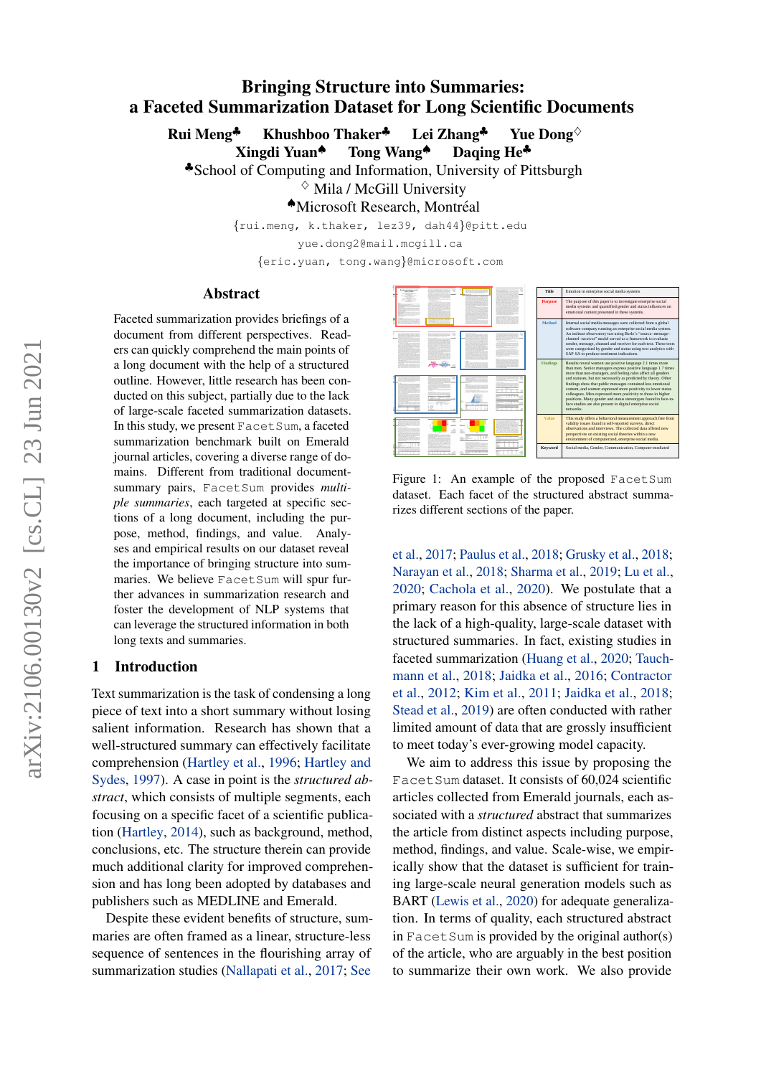# Bringing Structure into Summaries: a Faceted Summarization Dataset for Long Scientific Documents

Rui Meng<sup>♣</sup> Khushboo Thaker<sup>♣</sup> Lei Zhang<sup>♣</sup> Yue Dong<sup>◇</sup>

Xingdi Yuan♠ Tong Wang♠ Daqing He♣

♣School of Computing and Information, University of Pittsburgh

 $\diamond$  Mila / McGill University

♠Microsoft Research, Montreal ´

{rui.meng, k.thaker, lez39, dah44}@pitt.edu

yue.dong2@mail.mcgill.ca

{eric.yuan, tong.wang}@microsoft.com

#### Abstract

Faceted summarization provides briefings of a document from different perspectives. Readers can quickly comprehend the main points of a long document with the help of a structured outline. However, little research has been conducted on this subject, partially due to the lack of large-scale faceted summarization datasets. In this study, we present FacetSum, a faceted summarization benchmark built on Emerald journal articles, covering a diverse range of domains. Different from traditional documentsummary pairs, FacetSum provides *multiple summaries*, each targeted at specific sections of a long document, including the purpose, method, findings, and value. Analyses and empirical results on our dataset reveal the importance of bringing structure into summaries. We believe FacetSum will spur further advances in summarization research and foster the development of NLP systems that can leverage the structured information in both long texts and summaries.

#### 1 Introduction

Text summarization is the task of condensing a long piece of text into a short summary without losing salient information. Research has shown that a well-structured summary can effectively facilitate comprehension [\(Hartley et al.,](#page-5-0) [1996;](#page-5-0) [Hartley and](#page-5-1) [Sydes,](#page-5-1) [1997\)](#page-5-1). A case in point is the *structured abstract*, which consists of multiple segments, each focusing on a specific facet of a scientific publication [\(Hartley,](#page-5-2) [2014\)](#page-5-2), such as background, method, conclusions, etc. The structure therein can provide much additional clarity for improved comprehension and has long been adopted by databases and publishers such as MEDLINE and Emerald.

Despite these evident benefits of structure, summaries are often framed as a linear, structure-less sequence of sentences in the flourishing array of summarization studies [\(Nallapati et al.,](#page-5-3) [2017;](#page-5-3) [See](#page-6-0)

<span id="page-0-0"></span>

Figure 1: An example of the proposed FacetSum dataset. Each facet of the structured abstract summarizes different sections of the paper.

[et al.,](#page-6-0) [2017;](#page-6-0) [Paulus et al.,](#page-5-4) [2018;](#page-5-4) [Grusky et al.,](#page-5-5) [2018;](#page-5-5) [Narayan et al.,](#page-5-6) [2018;](#page-5-6) [Sharma et al.,](#page-6-1) [2019;](#page-6-1) [Lu et al.,](#page-5-7) [2020;](#page-5-7) [Cachola et al.,](#page-4-0) [2020\)](#page-4-0). We postulate that a primary reason for this absence of structure lies in the lack of a high-quality, large-scale dataset with structured summaries. In fact, existing studies in faceted summarization [\(Huang et al.,](#page-5-8) [2020;](#page-5-8) [Tauch](#page-6-2)[mann et al.,](#page-6-2) [2018;](#page-6-2) [Jaidka et al.,](#page-5-9) [2016;](#page-5-9) [Contractor](#page-4-1) [et al.,](#page-4-1) [2012;](#page-4-1) [Kim et al.,](#page-5-10) [2011;](#page-5-10) [Jaidka et al.,](#page-5-11) [2018;](#page-5-11) [Stead et al.,](#page-6-3) [2019\)](#page-6-3) are often conducted with rather limited amount of data that are grossly insufficient to meet today's ever-growing model capacity.

We aim to address this issue by proposing the Facet Sum dataset. It consists of 60,024 scientific articles collected from Emerald journals, each associated with a *structured* abstract that summarizes the article from distinct aspects including purpose, method, findings, and value. Scale-wise, we empirically show that the dataset is sufficient for training large-scale neural generation models such as BART [\(Lewis et al.,](#page-5-12) [2020\)](#page-5-12) for adequate generalization. In terms of quality, each structured abstract in  $F$  acetSum is provided by the original author(s) of the article, who are arguably in the best position to summarize their own work. We also provide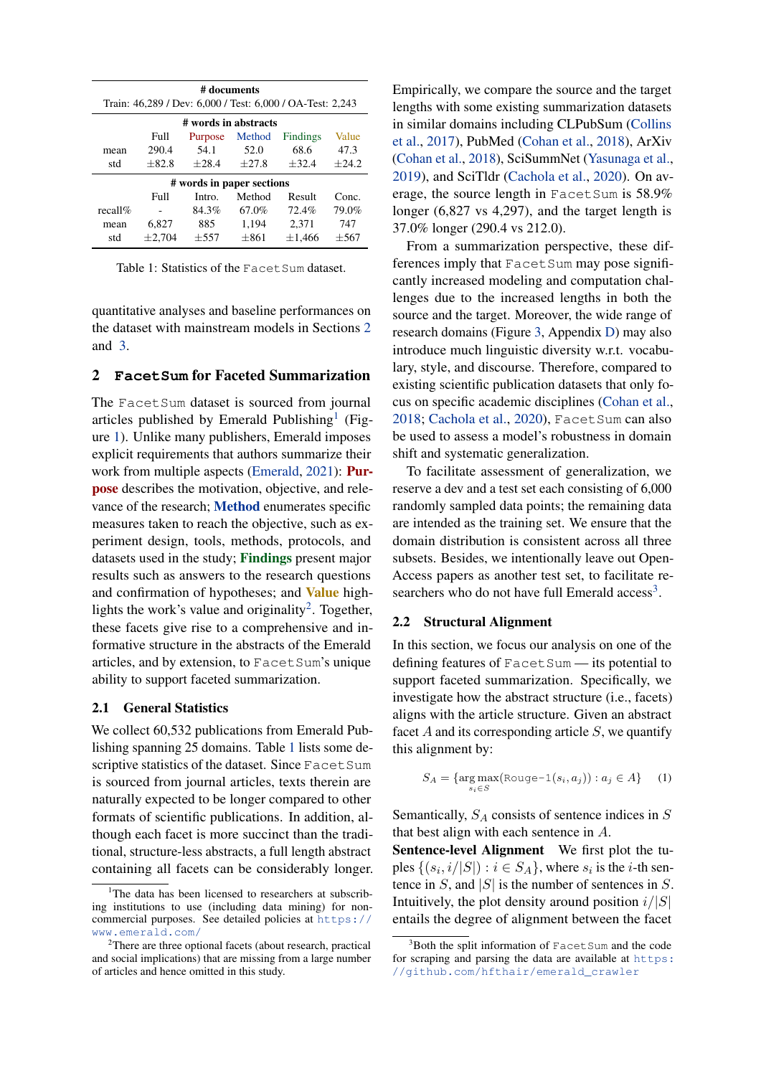<span id="page-1-3"></span>

| # documents<br>Train: 46,289 / Dev: 6,000 / Test: 6,000 / OA-Test: 2,243 |             |                      |         |             |         |
|--------------------------------------------------------------------------|-------------|----------------------|---------|-------------|---------|
|                                                                          |             | # words in abstracts |         |             |         |
|                                                                          | Full        | Purpose              | Method  | Findings    | Value   |
| mean                                                                     | 290.4       | 54.1                 | 52.0    | 68.6        | 47.3    |
| std                                                                      | $+82.8$     | $+28.4$              | $+27.8$ | $+32.4$     | $+24.2$ |
| # words in paper sections                                                |             |                      |         |             |         |
|                                                                          | Full        | Intro.               | Method  | Result      | Conc.   |
| recall%                                                                  |             | 84.3%                | 67.0%   | 72.4%       | 79.0%   |
| mean                                                                     | 6.827       | 885                  | 1,194   | 2,371       | 747     |
| std                                                                      | $\pm 2,704$ | $+557$               | $+861$  | $\pm 1.466$ | $+567$  |

Table 1: Statistics of the Facet Sum dataset.

quantitative analyses and baseline performances on the dataset with mainstream models in Sections [2](#page-1-0) and [3.](#page-2-0)

## <span id="page-1-0"></span>2 **FacetSum** for Faceted Summarization

The FacetSum dataset is sourced from journal articles published by Emerald Publishing<sup>[1](#page-1-1)</sup> (Figure [1\)](#page-0-0). Unlike many publishers, Emerald imposes explicit requirements that authors summarize their work from multiple aspects [\(Emerald,](#page-4-2) [2021\)](#page-4-2): Purpose describes the motivation, objective, and relevance of the research; Method enumerates specific measures taken to reach the objective, such as experiment design, tools, methods, protocols, and datasets used in the study; Findings present major results such as answers to the research questions and confirmation of hypotheses; and Value high-lights the work's value and originality<sup>[2](#page-1-2)</sup>. Together, these facets give rise to a comprehensive and informative structure in the abstracts of the Emerald articles, and by extension, to FacetSum's unique ability to support faceted summarization.

#### 2.1 General Statistics

We collect 60,532 publications from Emerald Publishing spanning 25 domains. Table [1](#page-1-3) lists some descriptive statistics of the dataset. Since FacetSum is sourced from journal articles, texts therein are naturally expected to be longer compared to other formats of scientific publications. In addition, although each facet is more succinct than the traditional, structure-less abstracts, a full length abstract containing all facets can be considerably longer. Empirically, we compare the source and the target lengths with some existing summarization datasets in similar domains including CLPubSum [\(Collins](#page-4-3) [et al.,](#page-4-3) [2017\)](#page-4-3), PubMed [\(Cohan et al.,](#page-4-4) [2018\)](#page-4-4), ArXiv [\(Cohan et al.,](#page-4-4) [2018\)](#page-4-4), SciSummNet [\(Yasunaga et al.,](#page-6-4) [2019\)](#page-6-4), and SciTldr [\(Cachola et al.,](#page-4-0) [2020\)](#page-4-0). On average, the source length in FacetSum is 58.9% longer (6,827 vs 4,297), and the target length is 37.0% longer (290.4 vs 212.0).

From a summarization perspective, these differences imply that FacetSum may pose significantly increased modeling and computation challenges due to the increased lengths in both the source and the target. Moreover, the wide range of research domains (Figure [3,](#page-9-0) Appendix [D\)](#page-7-0) may also introduce much linguistic diversity w.r.t. vocabulary, style, and discourse. Therefore, compared to existing scientific publication datasets that only focus on specific academic disciplines [\(Cohan et al.,](#page-4-4) [2018;](#page-4-4) [Cachola et al.,](#page-4-0) [2020\)](#page-4-0), Facet Sum can also be used to assess a model's robustness in domain shift and systematic generalization.

To facilitate assessment of generalization, we reserve a dev and a test set each consisting of 6,000 randomly sampled data points; the remaining data are intended as the training set. We ensure that the domain distribution is consistent across all three subsets. Besides, we intentionally leave out Open-Access papers as another test set, to facilitate re-searchers who do not have full Emerald access<sup>[3](#page-1-4)</sup>.

#### <span id="page-1-6"></span>2.2 Structural Alignment

In this section, we focus our analysis on one of the defining features of FacetSum — its potential to support faceted summarization. Specifically, we investigate how the abstract structure (i.e., facets) aligns with the article structure. Given an abstract facet  $A$  and its corresponding article  $S$ , we quantify this alignment by:

<span id="page-1-5"></span>
$$
S_A = \{ \underset{s_i \in S}{\text{arg}\max} (\text{Rouge-1}(s_i, a_j)) : a_j \in A \} \quad (1)
$$

Semantically,  $S_A$  consists of sentence indices in  $S$ that best align with each sentence in A.

Sentence-level Alignment We first plot the tuples  $\{(s_i, i/|S|) : i \in S_A\}$ , where  $s_i$  is the *i*-th sentence in S, and  $|S|$  is the number of sentences in S. Intuitively, the plot density around position  $i/|S|$ entails the degree of alignment between the facet

<span id="page-1-1"></span><sup>&</sup>lt;sup>1</sup>The data has been licensed to researchers at subscribing institutions to use (including data mining) for noncommercial purposes. See detailed policies at [https://](https://www.emerald.com/) [www.emerald.com/](https://www.emerald.com/)

<span id="page-1-2"></span><sup>2</sup>There are three optional facets (about research, practical and social implications) that are missing from a large number of articles and hence omitted in this study.

<span id="page-1-4"></span> $3B$ oth the split information of FacetSum and the code for scraping and parsing the data are available at [https:](https://github.com/hfthair/emerald_crawler) [//github.com/hfthair/emerald\\_crawler](https://github.com/hfthair/emerald_crawler)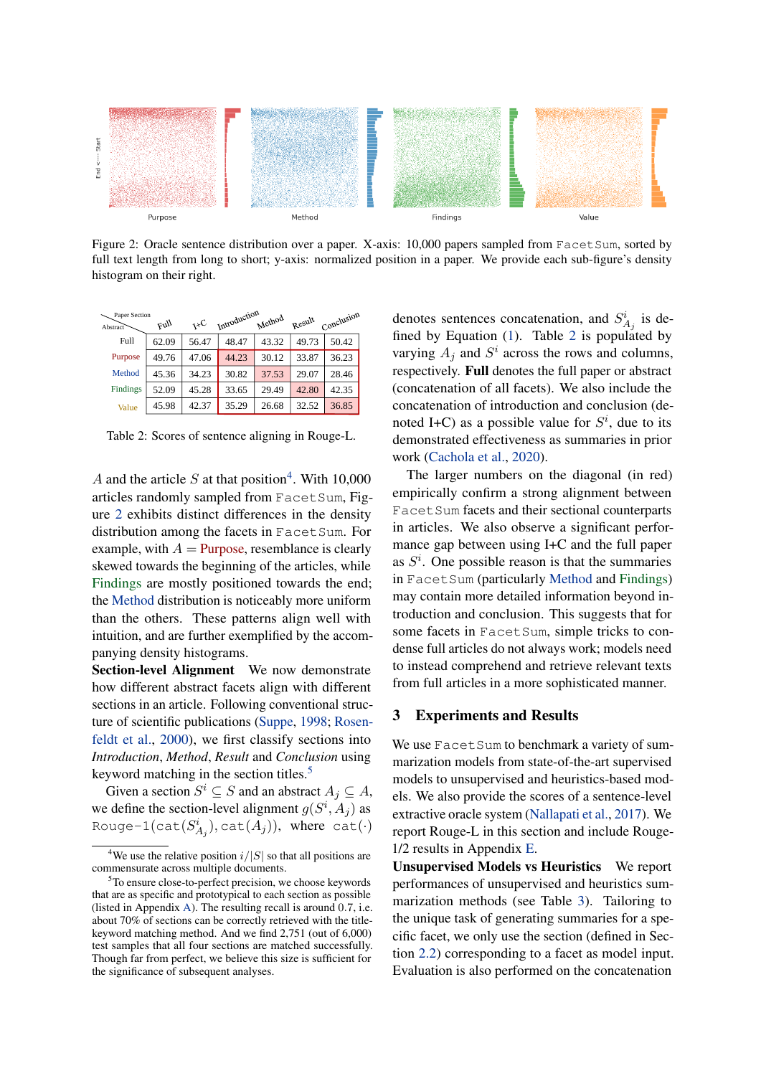<span id="page-2-2"></span>

Figure 2: Oracle sentence distribution over a paper. X-axis: 10,000 papers sampled from FacetSum, sorted by full text length from long to short; y-axis: normalized position in a paper. We provide each sub-figure's density histogram on their right.

<span id="page-2-4"></span>

| Paper Section |       |       | Introduction |        |        |            |
|---------------|-------|-------|--------------|--------|--------|------------|
| Abstract      | llyq  | 7XC   |              | Method | Result | Conclusion |
| Full          | 62.09 | 56.47 | 48.47        | 43.32  | 49.73  | 50.42      |
| Purpose       | 49.76 | 47.06 | 44.23        | 30.12  | 33.87  | 36.23      |
| Method        | 45.36 | 34.23 | 30.82        | 37.53  | 29.07  | 28.46      |
| Findings      | 52.09 | 45.28 | 33.65        | 29.49  | 42.80  | 42.35      |
| Value         | 45.98 | 42.37 | 35.29        | 26.68  | 32.52  | 36.85      |

Table 2: Scores of sentence aligning in Rouge-L.

A and the article S at that position<sup>[4](#page-2-1)</sup>. With 10,000 articles randomly sampled from FacetSum, Figure [2](#page-2-2) exhibits distinct differences in the density distribution among the facets in Facet Sum. For example, with  $A =$  Purpose, resemblance is clearly skewed towards the beginning of the articles, while Findings are mostly positioned towards the end; the Method distribution is noticeably more uniform than the others. These patterns align well with intuition, and are further exemplified by the accompanying density histograms.

Section-level Alignment We now demonstrate how different abstract facets align with different sections in an article. Following conventional structure of scientific publications [\(Suppe,](#page-6-5) [1998;](#page-6-5) [Rosen](#page-5-13)[feldt et al.,](#page-5-13) [2000\)](#page-5-13), we first classify sections into *Introduction*, *Method*, *Result* and *Conclusion* using keyword matching in the section titles.<sup>[5](#page-2-3)</sup>

Given a section  $S^i \subseteq S$  and an abstract  $A_j \subseteq A$ , we define the section-level alignment  $g(S^i, A_j)$  as Rouge- $\mathbb{1}(\textsf{cat}(S_{A_j}^i), \textsf{cat}(A_j)),$  where  $\textsf{cat}(\cdot)$ 

denotes sentences concatenation, and  $S_{A_j}^i$  is de-fined by Equation [\(1\)](#page-1-5). Table [2](#page-2-4) is populated by varying  $A_j$  and  $S^i$  across the rows and columns, respectively. Full denotes the full paper or abstract (concatenation of all facets). We also include the concatenation of introduction and conclusion (denoted I+C) as a possible value for  $S^i$ , due to its demonstrated effectiveness as summaries in prior work [\(Cachola et al.,](#page-4-0) [2020\)](#page-4-0).

The larger numbers on the diagonal (in red) empirically confirm a strong alignment between Facet Sum facets and their sectional counterparts in articles. We also observe a significant performance gap between using I+C and the full paper as  $S<sup>i</sup>$ . One possible reason is that the summaries in FacetSum (particularly Method and Findings) may contain more detailed information beyond introduction and conclusion. This suggests that for some facets in FacetSum, simple tricks to condense full articles do not always work; models need to instead comprehend and retrieve relevant texts from full articles in a more sophisticated manner.

#### <span id="page-2-0"></span>3 Experiments and Results

We use Facet Sum to benchmark a variety of summarization models from state-of-the-art supervised models to unsupervised and heuristics-based models. We also provide the scores of a sentence-level extractive oracle system [\(Nallapati et al.,](#page-5-3) [2017\)](#page-5-3). We report Rouge-L in this section and include Rouge-1/2 results in Appendix [E.](#page-7-2)

Unsupervised Models vs Heuristics We report performances of unsupervised and heuristics summarization methods (see Table [3\)](#page-3-0). Tailoring to the unique task of generating summaries for a specific facet, we only use the section (defined in Section [2.2\)](#page-1-6) corresponding to a facet as model input. Evaluation is also performed on the concatenation

<span id="page-2-1"></span><sup>&</sup>lt;sup>4</sup>We use the relative position  $i/|S|$  so that all positions are commensurate across multiple documents.

<span id="page-2-3"></span><sup>&</sup>lt;sup>5</sup>To ensure close-to-perfect precision, we choose keywords that are as specific and prototypical to each section as possible (listed in Appendix [A\)](#page-7-1). The resulting recall is around 0.7, i.e. about 70% of sections can be correctly retrieved with the titlekeyword matching method. And we find 2,751 (out of 6,000) test samples that all four sections are matched successfully. Though far from perfect, we believe this size is sufficient for the significance of subsequent analyses.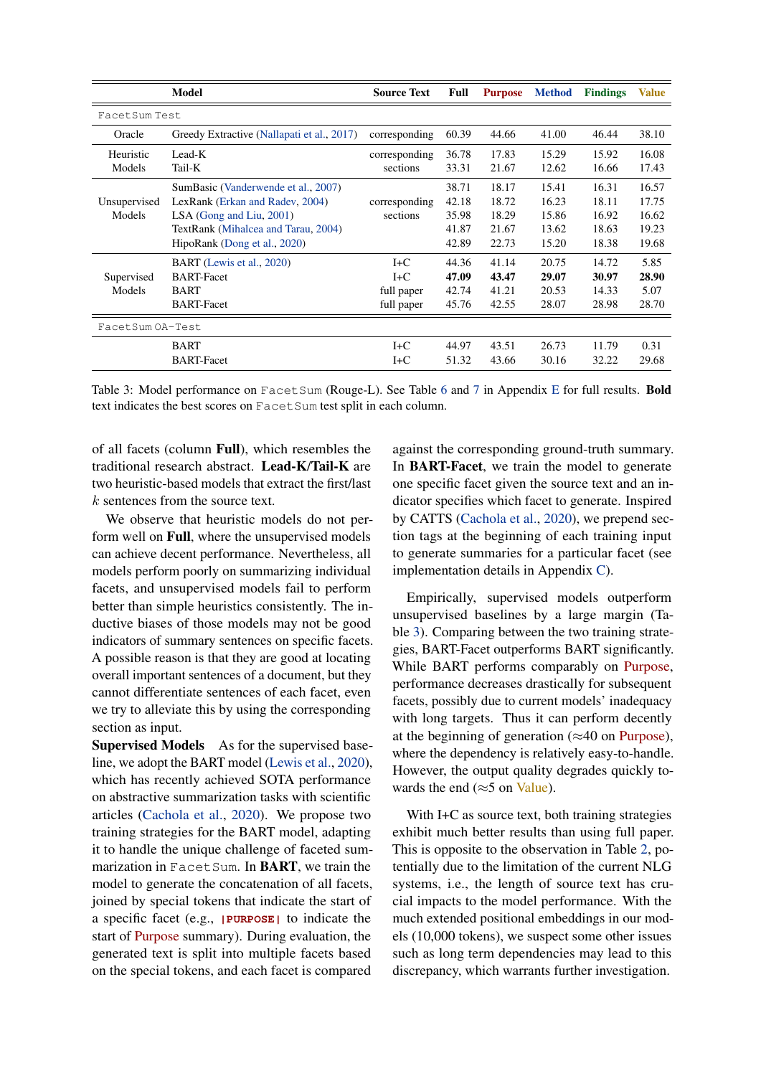<span id="page-3-0"></span>

|                  | <b>Model</b>                               | <b>Source Text</b> | Full  | <b>Purpose</b> | <b>Method</b> | <b>Findings</b> | <b>Value</b> |
|------------------|--------------------------------------------|--------------------|-------|----------------|---------------|-----------------|--------------|
| FacetSum Test    |                                            |                    |       |                |               |                 |              |
| Oracle           | Greedy Extractive (Nallapati et al., 2017) | corresponding      | 60.39 | 44.66          | 41.00         | 46.44           | 38.10        |
| Heuristic        | Lead-K                                     | corresponding      | 36.78 | 17.83          | 15.29         | 15.92           | 16.08        |
| Models           | Tail-K                                     | sections           | 33.31 | 21.67          | 12.62         | 16.66           | 17.43        |
|                  | SumBasic (Vanderwende et al., 2007)        |                    | 38.71 | 18.17          | 15.41         | 16.31           | 16.57        |
| Unsupervised     | LexRank (Erkan and Radev, 2004)            | corresponding      | 42.18 | 18.72          | 16.23         | 18.11           | 17.75        |
| Models           | $LSA$ (Gong and Liu, 2001)                 | sections           | 35.98 | 18.29          | 15.86         | 16.92           | 16.62        |
|                  | TextRank (Mihalcea and Tarau, 2004)        |                    | 41.87 | 21.67          | 13.62         | 18.63           | 19.23        |
|                  | HipoRank (Dong et al., 2020)               |                    | 42.89 | 22.73          | 15.20         | 18.38           | 19.68        |
|                  | BART (Lewis et al., 2020)                  | $I+C$              | 44.36 | 41.14          | 20.75         | 14.72           | 5.85         |
| Supervised       | <b>BART-Facet</b>                          | $I+C$              | 47.09 | 43.47          | 29.07         | 30.97           | 28.90        |
| Models           | <b>BART</b>                                | full paper         | 42.74 | 41.21          | 20.53         | 14.33           | 5.07         |
|                  | <b>BART-Facet</b>                          | full paper         | 45.76 | 42.55          | 28.07         | 28.98           | 28.70        |
| FacetSum OA-Test |                                            |                    |       |                |               |                 |              |
|                  | <b>BART</b>                                | $I + C$            | 44.97 | 43.51          | 26.73         | 11.79           | 0.31         |
|                  | <b>BART-Facet</b>                          | $I+C$              | 51.32 | 43.66          | 30.16         | 32.22           | 29.68        |

Table 3: Model performance on FacetSum (Rouge-L). See Table [6](#page-8-0) and [7](#page-8-1) in Appendix [E](#page-7-2) for full results. Bold text indicates the best scores on Facet Sum test split in each column.

of all facets (column Full), which resembles the traditional research abstract. Lead-K/Tail-K are two heuristic-based models that extract the first/last k sentences from the source text.

We observe that heuristic models do not perform well on Full, where the unsupervised models can achieve decent performance. Nevertheless, all models perform poorly on summarizing individual facets, and unsupervised models fail to perform better than simple heuristics consistently. The inductive biases of those models may not be good indicators of summary sentences on specific facets. A possible reason is that they are good at locating overall important sentences of a document, but they cannot differentiate sentences of each facet, even we try to alleviate this by using the corresponding section as input.

Supervised Models As for the supervised baseline, we adopt the BART model [\(Lewis et al.,](#page-5-12) [2020\)](#page-5-12), which has recently achieved SOTA performance on abstractive summarization tasks with scientific articles [\(Cachola et al.,](#page-4-0) [2020\)](#page-4-0). We propose two training strategies for the BART model, adapting it to handle the unique challenge of faceted summarization in FacetSum. In **BART**, we train the model to generate the concatenation of all facets, joined by special tokens that indicate the start of a specific facet (e.g., **|PURPOSE|** to indicate the start of Purpose summary). During evaluation, the generated text is split into multiple facets based on the special tokens, and each facet is compared

against the corresponding ground-truth summary. In BART-Facet, we train the model to generate one specific facet given the source text and an indicator specifies which facet to generate. Inspired by CATTS [\(Cachola et al.,](#page-4-0) [2020\)](#page-4-0), we prepend section tags at the beginning of each training input to generate summaries for a particular facet (see implementation details in Appendix [C\)](#page-7-3).

Empirically, supervised models outperform unsupervised baselines by a large margin (Table [3\)](#page-3-0). Comparing between the two training strategies, BART-Facet outperforms BART significantly. While BART performs comparably on Purpose, performance decreases drastically for subsequent facets, possibly due to current models' inadequacy with long targets. Thus it can perform decently at the beginning of generation ( $\approx$ 40 on Purpose), where the dependency is relatively easy-to-handle. However, the output quality degrades quickly towards the end ( $\approx$ 5 on Value).

With I+C as source text, both training strategies exhibit much better results than using full paper. This is opposite to the observation in Table [2,](#page-2-4) potentially due to the limitation of the current NLG systems, i.e., the length of source text has crucial impacts to the model performance. With the much extended positional embeddings in our models (10,000 tokens), we suspect some other issues such as long term dependencies may lead to this discrepancy, which warrants further investigation.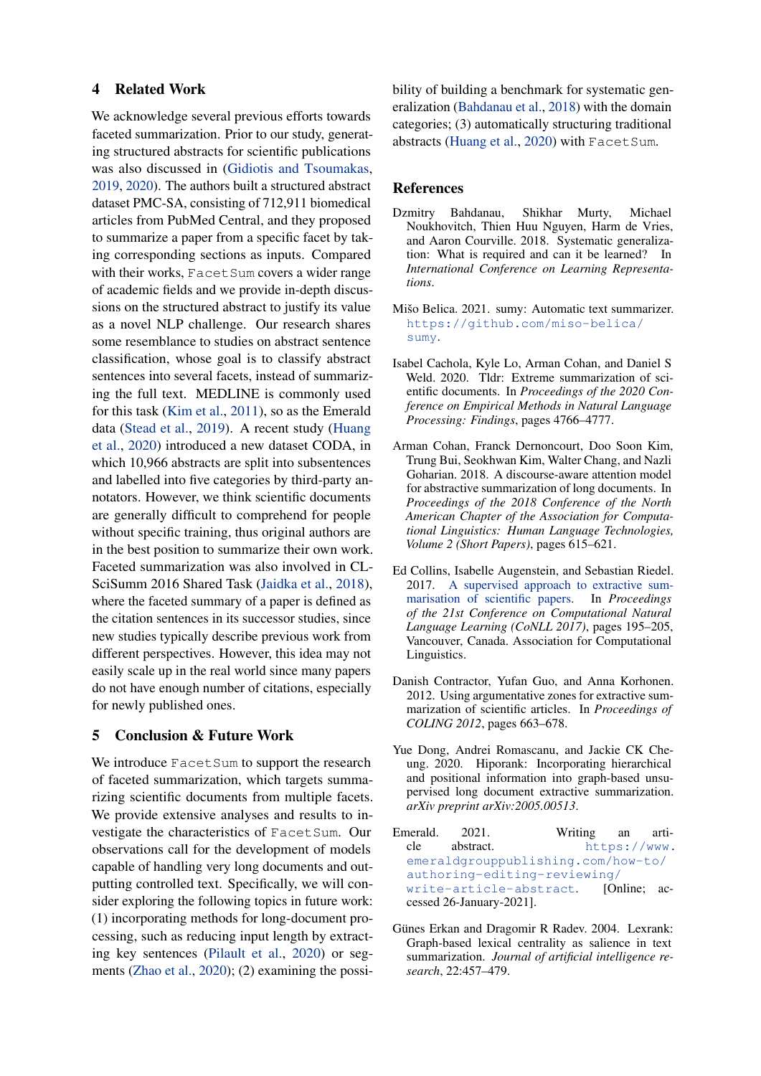#### 4 Related Work

We acknowledge several previous efforts towards faceted summarization. Prior to our study, generating structured abstracts for scientific publications was also discussed in [\(Gidiotis and Tsoumakas,](#page-5-16) [2019,](#page-5-16) [2020\)](#page-5-17). The authors built a structured abstract dataset PMC-SA, consisting of 712,911 biomedical articles from PubMed Central, and they proposed to summarize a paper from a specific facet by taking corresponding sections as inputs. Compared with their works, FacetSum covers a wider range of academic fields and we provide in-depth discussions on the structured abstract to justify its value as a novel NLP challenge. Our research shares some resemblance to studies on abstract sentence classification, whose goal is to classify abstract sentences into several facets, instead of summarizing the full text. MEDLINE is commonly used for this task [\(Kim et al.,](#page-5-10) [2011\)](#page-5-10), so as the Emerald data [\(Stead et al.,](#page-6-3) [2019\)](#page-6-3). A recent study [\(Huang](#page-5-8) [et al.,](#page-5-8) [2020\)](#page-5-8) introduced a new dataset CODA, in which 10,966 abstracts are split into subsentences and labelled into five categories by third-party annotators. However, we think scientific documents are generally difficult to comprehend for people without specific training, thus original authors are in the best position to summarize their own work. Faceted summarization was also involved in CL-SciSumm 2016 Shared Task [\(Jaidka et al.,](#page-5-11) [2018\)](#page-5-11), where the faceted summary of a paper is defined as the citation sentences in its successor studies, since new studies typically describe previous work from different perspectives. However, this idea may not easily scale up in the real world since many papers do not have enough number of citations, especially for newly published ones.

## 5 Conclusion & Future Work

We introduce Facet Sum to support the research of faceted summarization, which targets summarizing scientific documents from multiple facets. We provide extensive analyses and results to investigate the characteristics of FacetSum. Our observations call for the development of models capable of handling very long documents and outputting controlled text. Specifically, we will consider exploring the following topics in future work: (1) incorporating methods for long-document processing, such as reducing input length by extracting key sentences [\(Pilault et al.,](#page-5-18) [2020\)](#page-5-18) or segments [\(Zhao et al.,](#page-6-7) [2020\)](#page-6-7); (2) examining the possibility of building a benchmark for systematic generalization [\(Bahdanau et al.,](#page-4-7) [2018\)](#page-4-7) with the domain categories; (3) automatically structuring traditional abstracts [\(Huang et al.,](#page-5-8) [2020\)](#page-5-8) with FacetSum.

#### References

- <span id="page-4-7"></span>Dzmitry Bahdanau, Shikhar Murty, Michael Noukhovitch, Thien Huu Nguyen, Harm de Vries, and Aaron Courville. 2018. Systematic generalization: What is required and can it be learned? In *International Conference on Learning Representations*.
- <span id="page-4-8"></span>Mišo Belica. 2021. sumy: Automatic text summarizer. [https://github.com/miso-belica/](https://github.com/miso-belica/sumy) [sumy](https://github.com/miso-belica/sumy).
- <span id="page-4-0"></span>Isabel Cachola, Kyle Lo, Arman Cohan, and Daniel S Weld. 2020. Tldr: Extreme summarization of scientific documents. In *Proceedings of the 2020 Conference on Empirical Methods in Natural Language Processing: Findings*, pages 4766–4777.
- <span id="page-4-4"></span>Arman Cohan, Franck Dernoncourt, Doo Soon Kim, Trung Bui, Seokhwan Kim, Walter Chang, and Nazli Goharian. 2018. A discourse-aware attention model for abstractive summarization of long documents. In *Proceedings of the 2018 Conference of the North American Chapter of the Association for Computational Linguistics: Human Language Technologies, Volume 2 (Short Papers)*, pages 615–621.
- <span id="page-4-3"></span>Ed Collins, Isabelle Augenstein, and Sebastian Riedel. 2017. [A supervised approach to extractive sum](https://doi.org/10.18653/v1/K17-1021)[marisation of scientific papers.](https://doi.org/10.18653/v1/K17-1021) In *Proceedings of the 21st Conference on Computational Natural Language Learning (CoNLL 2017)*, pages 195–205, Vancouver, Canada. Association for Computational Linguistics.
- <span id="page-4-1"></span>Danish Contractor, Yufan Guo, and Anna Korhonen. 2012. Using argumentative zones for extractive summarization of scientific articles. In *Proceedings of COLING 2012*, pages 663–678.
- <span id="page-4-6"></span>Yue Dong, Andrei Romascanu, and Jackie CK Cheung. 2020. Hiporank: Incorporating hierarchical and positional information into graph-based unsupervised long document extractive summarization. *arXiv preprint arXiv:2005.00513*.
- <span id="page-4-2"></span>Emerald. 2021. Writing an article abstract. [https://www.](https://www.emeraldgrouppublishing.com/how-to/authoring-editing-reviewing/write-article-abstract) [emeraldgrouppublishing.com/how-to/](https://www.emeraldgrouppublishing.com/how-to/authoring-editing-reviewing/write-article-abstract) [authoring-editing-reviewing/](https://www.emeraldgrouppublishing.com/how-to/authoring-editing-reviewing/write-article-abstract) [write-article-abstract](https://www.emeraldgrouppublishing.com/how-to/authoring-editing-reviewing/write-article-abstract). [Online; accessed 26-January-2021].
- <span id="page-4-5"></span>Günes Erkan and Dragomir R Radev. 2004. Lexrank: Graph-based lexical centrality as salience in text summarization. *Journal of artificial intelligence research*, 22:457–479.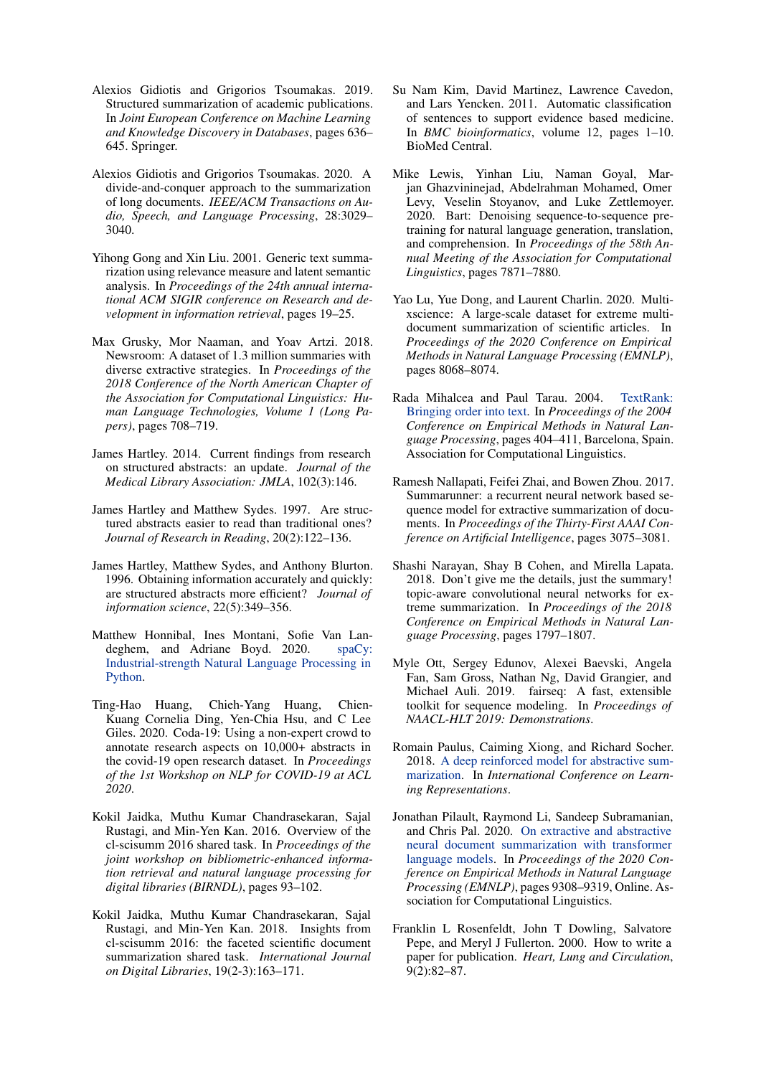- <span id="page-5-16"></span>Alexios Gidiotis and Grigorios Tsoumakas. 2019. Structured summarization of academic publications. In *Joint European Conference on Machine Learning and Knowledge Discovery in Databases*, pages 636– 645. Springer.
- <span id="page-5-17"></span>Alexios Gidiotis and Grigorios Tsoumakas. 2020. A divide-and-conquer approach to the summarization of long documents. *IEEE/ACM Transactions on Audio, Speech, and Language Processing*, 28:3029– 3040.
- <span id="page-5-14"></span>Yihong Gong and Xin Liu. 2001. Generic text summarization using relevance measure and latent semantic analysis. In *Proceedings of the 24th annual international ACM SIGIR conference on Research and development in information retrieval*, pages 19–25.
- <span id="page-5-5"></span>Max Grusky, Mor Naaman, and Yoav Artzi. 2018. Newsroom: A dataset of 1.3 million summaries with diverse extractive strategies. In *Proceedings of the 2018 Conference of the North American Chapter of the Association for Computational Linguistics: Human Language Technologies, Volume 1 (Long Papers)*, pages 708–719.
- <span id="page-5-2"></span>James Hartley. 2014. Current findings from research on structured abstracts: an update. *Journal of the Medical Library Association: JMLA*, 102(3):146.
- <span id="page-5-1"></span>James Hartley and Matthew Sydes. 1997. Are structured abstracts easier to read than traditional ones? *Journal of Research in Reading*, 20(2):122–136.
- <span id="page-5-0"></span>James Hartley, Matthew Sydes, and Anthony Blurton. 1996. Obtaining information accurately and quickly: are structured abstracts more efficient? *Journal of information science*, 22(5):349–356.
- <span id="page-5-19"></span>Matthew Honnibal, Ines Montani, Sofie Van Landeghem, and Adriane Boyd. 2020. [spaCy:](https://doi.org/10.5281/zenodo.1212303) [Industrial-strength Natural Language Processing in](https://doi.org/10.5281/zenodo.1212303) [Python.](https://doi.org/10.5281/zenodo.1212303)
- <span id="page-5-8"></span>Ting-Hao Huang, Chieh-Yang Huang, Chien-Kuang Cornelia Ding, Yen-Chia Hsu, and C Lee Giles. 2020. Coda-19: Using a non-expert crowd to annotate research aspects on 10,000+ abstracts in the covid-19 open research dataset. In *Proceedings of the 1st Workshop on NLP for COVID-19 at ACL 2020*.
- <span id="page-5-9"></span>Kokil Jaidka, Muthu Kumar Chandrasekaran, Sajal Rustagi, and Min-Yen Kan. 2016. Overview of the cl-scisumm 2016 shared task. In *Proceedings of the joint workshop on bibliometric-enhanced information retrieval and natural language processing for digital libraries (BIRNDL)*, pages 93–102.
- <span id="page-5-11"></span>Kokil Jaidka, Muthu Kumar Chandrasekaran, Sajal Rustagi, and Min-Yen Kan. 2018. Insights from cl-scisumm 2016: the faceted scientific document summarization shared task. *International Journal on Digital Libraries*, 19(2-3):163–171.
- <span id="page-5-10"></span>Su Nam Kim, David Martinez, Lawrence Cavedon, and Lars Yencken. 2011. Automatic classification of sentences to support evidence based medicine. In *BMC bioinformatics*, volume 12, pages 1–10. BioMed Central.
- <span id="page-5-12"></span>Mike Lewis, Yinhan Liu, Naman Goyal, Marjan Ghazvininejad, Abdelrahman Mohamed, Omer Levy, Veselin Stoyanov, and Luke Zettlemoyer. 2020. Bart: Denoising sequence-to-sequence pretraining for natural language generation, translation, and comprehension. In *Proceedings of the 58th Annual Meeting of the Association for Computational Linguistics*, pages 7871–7880.
- <span id="page-5-7"></span>Yao Lu, Yue Dong, and Laurent Charlin. 2020. Multixscience: A large-scale dataset for extreme multidocument summarization of scientific articles. In *Proceedings of the 2020 Conference on Empirical Methods in Natural Language Processing (EMNLP)*, pages 8068–8074.
- <span id="page-5-15"></span>Rada Mihalcea and Paul Tarau. 2004. [TextRank:](https://www.aclweb.org/anthology/W04-3252) [Bringing order into text.](https://www.aclweb.org/anthology/W04-3252) In *Proceedings of the 2004 Conference on Empirical Methods in Natural Language Processing*, pages 404–411, Barcelona, Spain. Association for Computational Linguistics.
- <span id="page-5-3"></span>Ramesh Nallapati, Feifei Zhai, and Bowen Zhou. 2017. Summarunner: a recurrent neural network based sequence model for extractive summarization of documents. In *Proceedings of the Thirty-First AAAI Conference on Artificial Intelligence*, pages 3075–3081.
- <span id="page-5-6"></span>Shashi Narayan, Shay B Cohen, and Mirella Lapata. 2018. Don't give me the details, just the summary! topic-aware convolutional neural networks for extreme summarization. In *Proceedings of the 2018 Conference on Empirical Methods in Natural Language Processing*, pages 1797–1807.
- <span id="page-5-20"></span>Myle Ott, Sergey Edunov, Alexei Baevski, Angela Fan, Sam Gross, Nathan Ng, David Grangier, and Michael Auli. 2019. fairseq: A fast, extensible toolkit for sequence modeling. In *Proceedings of NAACL-HLT 2019: Demonstrations*.
- <span id="page-5-4"></span>Romain Paulus, Caiming Xiong, and Richard Socher. 2018. [A deep reinforced model for abstractive sum](https://openreview.net/forum?id=HkAClQgA-)[marization.](https://openreview.net/forum?id=HkAClQgA-) In *International Conference on Learning Representations*.
- <span id="page-5-18"></span>Jonathan Pilault, Raymond Li, Sandeep Subramanian, and Chris Pal. 2020. [On extractive and abstractive](https://doi.org/10.18653/v1/2020.emnlp-main.748) [neural document summarization with transformer](https://doi.org/10.18653/v1/2020.emnlp-main.748) [language models.](https://doi.org/10.18653/v1/2020.emnlp-main.748) In *Proceedings of the 2020 Conference on Empirical Methods in Natural Language Processing (EMNLP)*, pages 9308–9319, Online. Association for Computational Linguistics.
- <span id="page-5-13"></span>Franklin L Rosenfeldt, John T Dowling, Salvatore Pepe, and Meryl J Fullerton. 2000. How to write a paper for publication. *Heart, Lung and Circulation*, 9(2):82–87.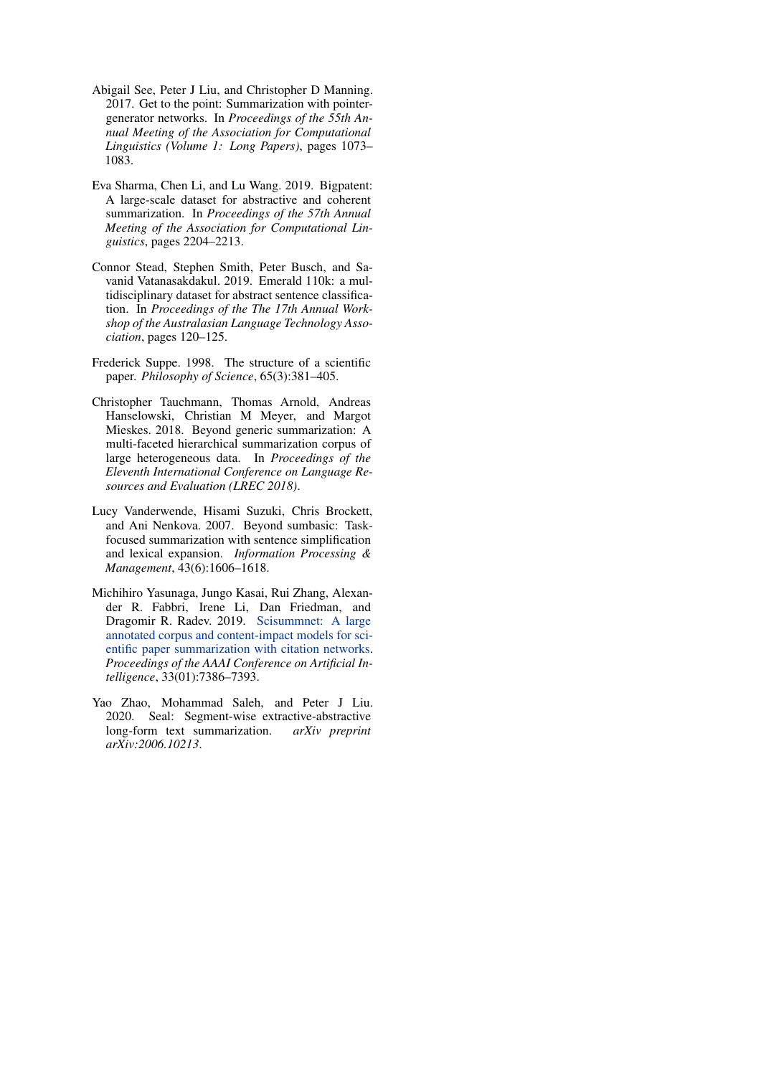- <span id="page-6-0"></span>Abigail See, Peter J Liu, and Christopher D Manning. 2017. Get to the point: Summarization with pointergenerator networks. In *Proceedings of the 55th Annual Meeting of the Association for Computational Linguistics (Volume 1: Long Papers)*, pages 1073– 1083.
- <span id="page-6-1"></span>Eva Sharma, Chen Li, and Lu Wang. 2019. Bigpatent: A large-scale dataset for abstractive and coherent summarization. In *Proceedings of the 57th Annual Meeting of the Association for Computational Linguistics*, pages 2204–2213.
- <span id="page-6-3"></span>Connor Stead, Stephen Smith, Peter Busch, and Savanid Vatanasakdakul. 2019. Emerald 110k: a multidisciplinary dataset for abstract sentence classification. In *Proceedings of the The 17th Annual Workshop of the Australasian Language Technology Association*, pages 120–125.
- <span id="page-6-5"></span>Frederick Suppe. 1998. The structure of a scientific paper. *Philosophy of Science*, 65(3):381–405.
- <span id="page-6-2"></span>Christopher Tauchmann, Thomas Arnold, Andreas Hanselowski, Christian M Meyer, and Margot Mieskes. 2018. Beyond generic summarization: A multi-faceted hierarchical summarization corpus of large heterogeneous data. In *Proceedings of the Eleventh International Conference on Language Resources and Evaluation (LREC 2018)*.
- <span id="page-6-6"></span>Lucy Vanderwende, Hisami Suzuki, Chris Brockett, and Ani Nenkova. 2007. Beyond sumbasic: Taskfocused summarization with sentence simplification and lexical expansion. *Information Processing & Management*, 43(6):1606–1618.
- <span id="page-6-4"></span>Michihiro Yasunaga, Jungo Kasai, Rui Zhang, Alexander R. Fabbri, Irene Li, Dan Friedman, and Dragomir R. Radev. 2019. [Scisummnet: A large](https://doi.org/10.1609/aaai.v33i01.33017386) [annotated corpus and content-impact models for sci](https://doi.org/10.1609/aaai.v33i01.33017386)[entific paper summarization with citation networks.](https://doi.org/10.1609/aaai.v33i01.33017386) *Proceedings of the AAAI Conference on Artificial Intelligence*, 33(01):7386–7393.
- <span id="page-6-7"></span>Yao Zhao, Mohammad Saleh, and Peter J Liu. 2020. Seal: Segment-wise extractive-abstractive long-form text summarization. *arXiv preprint arXiv:2006.10213*.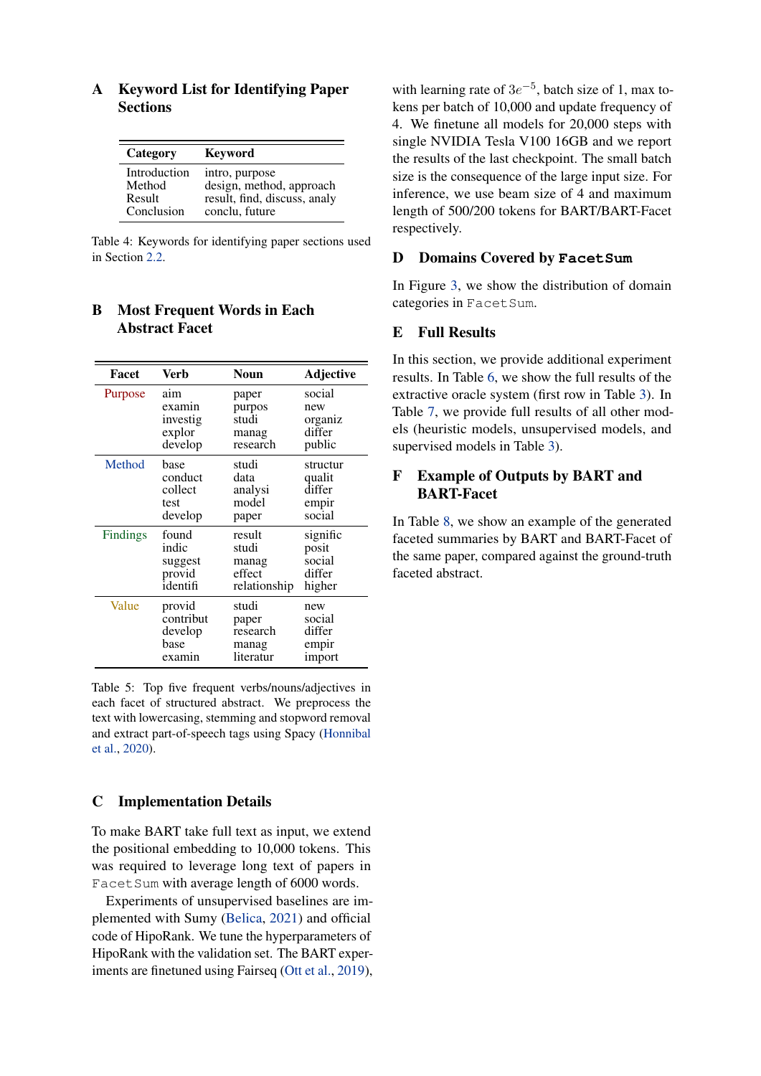| Category     | Keyword                      |
|--------------|------------------------------|
| Introduction | intro, purpose               |
| Method       | design, method, approach     |
| Result       | result, find, discuss, analy |
| Conclusion   | conclu, future               |

# <span id="page-7-1"></span>A Keyword List for Identifying Paper **Sections**

Table 4: Keywords for identifying paper sections used in Section [2.2.](#page-1-6)

# B Most Frequent Words in Each Abstract Facet

| Facet    | Verb      | <b>Noun</b>  | Adjective |
|----------|-----------|--------------|-----------|
| Purpose  | aim       | paper        | social    |
|          | examin    | purpos       | new       |
|          | investig  | studi        | organiz   |
|          | explor    | manag        | differ    |
|          | develop   | research     | public    |
| Method   | base      | studi        | structur  |
|          | conduct   | data         | qualit    |
|          | collect   | analysi      | differ    |
|          | test      | model        | empir     |
|          | develop   | paper        | social    |
| Findings | found     | result       | signific  |
|          | indic     | studi        | posit     |
|          | suggest   | manag        | social    |
|          | provid    | effect       | differ    |
|          | identifi  | relationship | higher    |
| Value    | provid    | studi        | new       |
|          | contribut | paper        | social    |
|          | develop   | research     | differ    |
|          | base      | manag        | empir     |
|          | examin    | literatur    | import    |

Table 5: Top five frequent verbs/nouns/adjectives in each facet of structured abstract. We preprocess the text with lowercasing, stemming and stopword removal and extract part-of-speech tags using Spacy [\(Honnibal](#page-5-19) [et al.,](#page-5-19) [2020\)](#page-5-19).

#### <span id="page-7-3"></span>C Implementation Details

To make BART take full text as input, we extend the positional embedding to 10,000 tokens. This was required to leverage long text of papers in Facet Sum with average length of 6000 words.

Experiments of unsupervised baselines are implemented with Sumy [\(Belica,](#page-4-8) [2021\)](#page-4-8) and official code of HipoRank. We tune the hyperparameters of HipoRank with the validation set. The BART experiments are finetuned using Fairseq [\(Ott et al.,](#page-5-20) [2019\)](#page-5-20),

with learning rate of  $3e^{-5}$ , batch size of 1, max tokens per batch of 10,000 and update frequency of 4. We finetune all models for 20,000 steps with single NVIDIA Tesla V100 16GB and we report the results of the last checkpoint. The small batch size is the consequence of the large input size. For inference, we use beam size of 4 and maximum length of 500/200 tokens for BART/BART-Facet respectively.

## <span id="page-7-0"></span>D Domains Covered by **FacetSum**

In Figure [3,](#page-9-0) we show the distribution of domain categories in FacetSum.

## <span id="page-7-2"></span>E Full Results

In this section, we provide additional experiment results. In Table [6,](#page-8-0) we show the full results of the extractive oracle system (first row in Table [3\)](#page-3-0). In Table [7,](#page-8-1) we provide full results of all other models (heuristic models, unsupervised models, and supervised models in Table [3\)](#page-3-0).

# F Example of Outputs by BART and BART-Facet

In Table [8,](#page-10-0) we show an example of the generated faceted summaries by BART and BART-Facet of the same paper, compared against the ground-truth faceted abstract.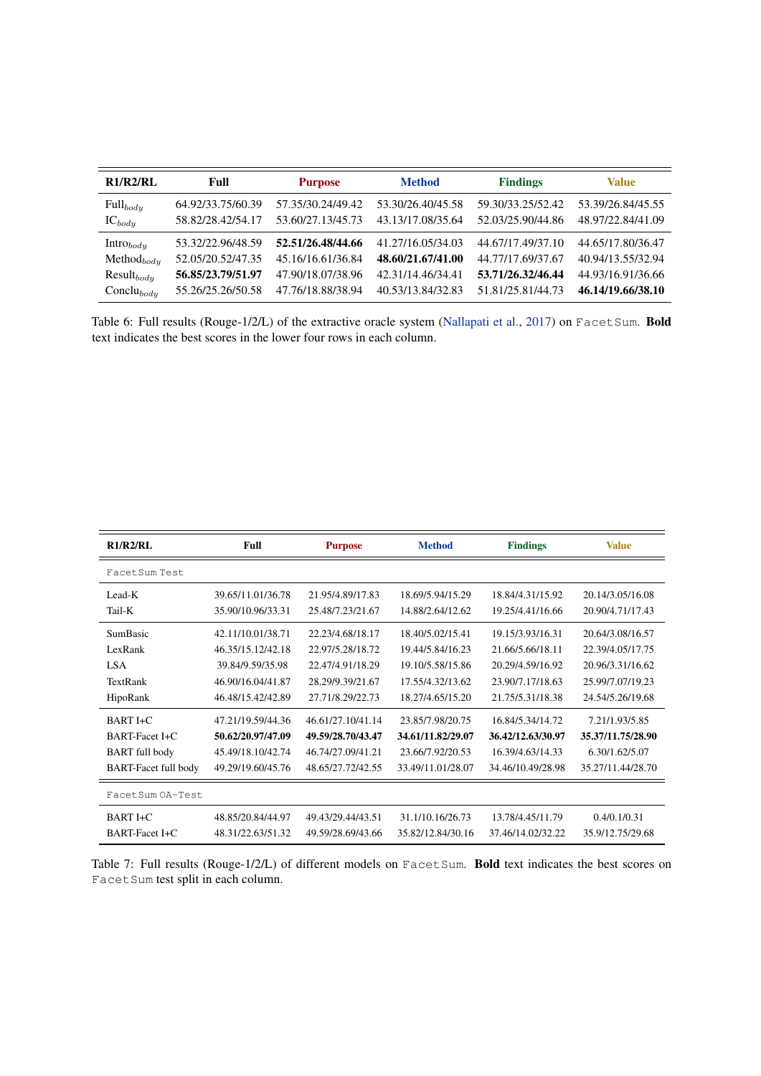<span id="page-8-0"></span>

| R1/R2/RL        | Full              | <b>Purpose</b>    | <b>Method</b>     | <b>Findings</b>   | <b>Value</b>      |
|-----------------|-------------------|-------------------|-------------------|-------------------|-------------------|
| $Full_{body}$   | 64.92/33.75/60.39 | 57.35/30.24/49.42 | 53.30/26.40/45.58 | 59.30/33.25/52.42 | 53.39/26.84/45.55 |
| $IC_{body}$     | 58.82/28.42/54.17 | 53.60/27.13/45.73 | 43.13/17.08/35.64 | 52.03/25.90/44.86 | 48.97/22.84/41.09 |
| $Intro_{body}$  | 53.32/22.96/48.59 | 52.51/26.48/44.66 | 41.27/16.05/34.03 | 44.67/17.49/37.10 | 44.65/17.80/36.47 |
| $Method_{body}$ | 52.05/20.52/47.35 | 45.16/16.61/36.84 | 48.60/21.67/41.00 | 44.77/17.69/37.67 | 40.94/13.55/32.94 |
| $Result_{body}$ | 56.85/23.79/51.97 | 47.90/18.07/38.96 | 42.31/14.46/34.41 | 53.71/26.32/46.44 | 44.93/16.91/36.66 |
| $Conclu_{body}$ | 55.26/25.26/50.58 | 47.76/18.88/38.94 | 40.53/13.84/32.83 | 51.81/25.81/44.73 | 46.14/19.66/38.10 |

Table 6: Full results (Rouge-1/2/L) of the extractive oracle system [\(Nallapati et al.,](#page-5-3) [2017\)](#page-5-3) on FacetSum. Bold text indicates the best scores in the lower four rows in each column.

<span id="page-8-1"></span>

| R1/R2/RL                    | Full              | <b>Purpose</b>    | <b>Method</b>     | <b>Findings</b>   | <b>Value</b>      |
|-----------------------------|-------------------|-------------------|-------------------|-------------------|-------------------|
| Facet Sum Test              |                   |                   |                   |                   |                   |
| Lead-K                      | 39.65/11.01/36.78 | 21.95/4.89/17.83  | 18.69/5.94/15.29  | 18.84/4.31/15.92  | 20.14/3.05/16.08  |
| Tail-K                      | 35.90/10.96/33.31 | 25.48/7.23/21.67  | 14.88/2.64/12.62  | 19.25/4.41/16.66  | 20.90/4.71/17.43  |
| <b>SumBasic</b>             | 42.11/10.01/38.71 | 22.23/4.68/18.17  | 18.40/5.02/15.41  | 19.15/3.93/16.31  | 20.64/3.08/16.57  |
| LexRank                     | 46.35/15.12/42.18 | 22.97/5.28/18.72  | 19.44/5.84/16.23  | 21.66/5.66/18.11  | 22.39/4.05/17.75  |
| <b>LSA</b>                  | 39.84/9.59/35.98  | 22.47/4.91/18.29  | 19.10/5.58/15.86  | 20.29/4.59/16.92  | 20.96/3.31/16.62  |
| TextRank                    | 46.90/16.04/41.87 | 28.29/9.39/21.67  | 17.55/4.32/13.62  | 23.90/7.17/18.63  | 25.99/7.07/19.23  |
| HipoRank                    | 46.48/15.42/42.89 | 27.71/8.29/22.73  | 18.27/4.65/15.20  | 21.75/5.31/18.38  | 24.54/5.26/19.68  |
| BART I+C                    | 47.21/19.59/44.36 | 46.61/27.10/41.14 | 23.85/7.98/20.75  | 16.84/5.34/14.72  | 7.21/1.93/5.85    |
| BART-Facet I+C              | 50.62/20.97/47.09 | 49.59/28.70/43.47 | 34.61/11.82/29.07 | 36.42/12.63/30.97 | 35.37/11.75/28.90 |
| <b>BART</b> full body       | 45.49/18.10/42.74 | 46.74/27.09/41.21 | 23.66/7.92/20.53  | 16.39/4.63/14.33  | 6.30/1.62/5.07    |
| <b>BART-Facet full body</b> | 49.29/19.60/45.76 | 48.65/27.72/42.55 | 33.49/11.01/28.07 | 34.46/10.49/28.98 | 35.27/11.44/28.70 |
| FacetSum OA-Test            |                   |                   |                   |                   |                   |
| $BARTI + C$                 | 48.85/20.84/44.97 | 49.43/29.44/43.51 | 31.1/10.16/26.73  | 13.78/4.45/11.79  | 0.4/0.1/0.31      |
| <b>BART-Facet I+C</b>       | 48.31/22.63/51.32 | 49.59/28.69/43.66 | 35.82/12.84/30.16 | 37.46/14.02/32.22 | 35.9/12.75/29.68  |

Table 7: Full results (Rouge-1/2/L) of different models on FacetSum. Bold text indicates the best scores on Facet Sum test split in each column.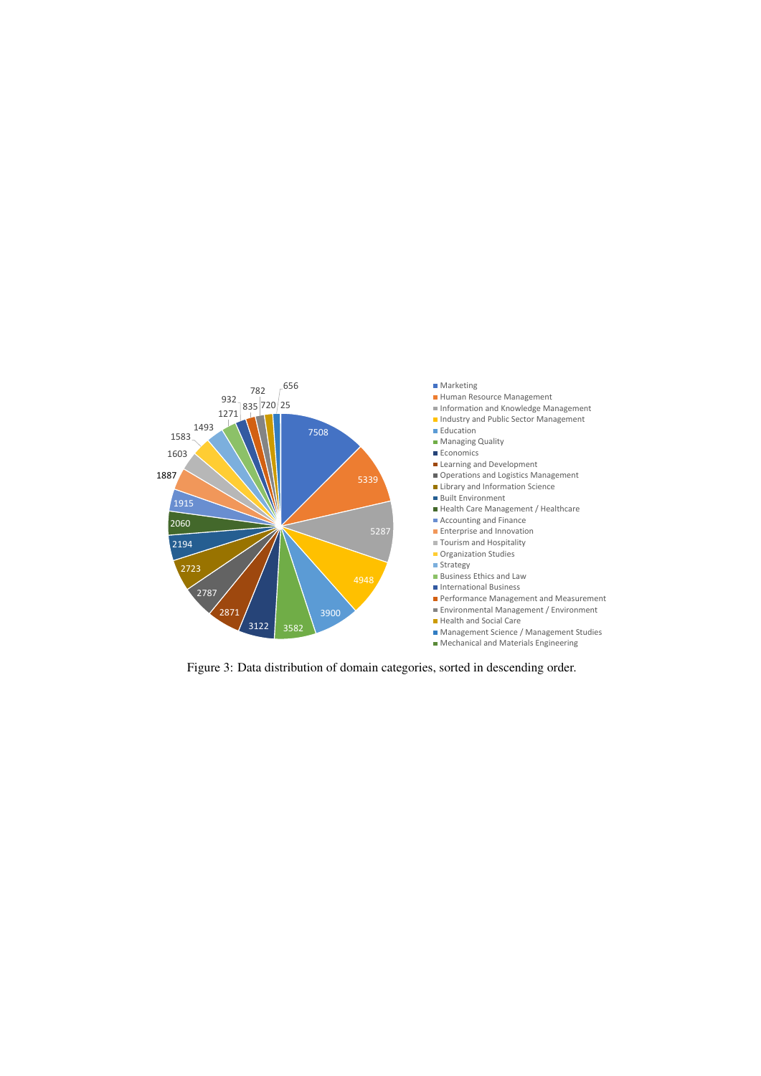<span id="page-9-0"></span>

Figure 3: Data distribution of domain categories, sorted in descending order.